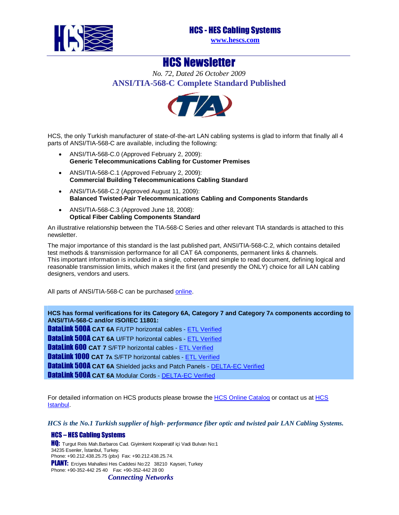



**www.hescs.com**

## HCS Newsletter

*No. 72, Dated 26 October 2009* **ANSI/TIA-568-C Complete Standard Published** 



HCS, the only Turkish manufacturer of state-of-the-art LAN cabling systems is glad to inform that finally all 4 parts of ANSI/TIA-568-C are available, including the following:

- ANSI/TIA-568-C.0 (Approved February 2, 2009): **Generic Telecommunications Cabling for Customer Premises**
- ANSI/TIA-568-C.1 (Approved February 2, 2009): **Commercial Building Telecommunications Cabling Standard**
- ANSI/TIA-568-C.2 (Approved August 11, 2009): **Balanced Twisted-Pair Telecommunications Cabling and Components Standards**
- ANSI/TIA-568-C.3 (Approved June 18, 2008): **Optical Fiber Cabling Components Standard**

An illustrative relationship between the TIA-568-C Series and other relevant TIA standards is attached to this newsletter.

The major importance of this standard is the last published part, ANSI/TIA-568-C.2, which contains detailed test methods & transmission performance for all CAT 6A components, permanent links & channels. This important information is included in a single, coherent and simple to read document, defining logical and reasonable transmission limits, which makes it the first (and presently the ONLY) choice for all LAN cabling designers, vendors and users.

All parts of ANSI/TIA-568-C can be purchased online.

**HCS has formal verifications for its Category [6A, Category 7](http://www.intertek-etlsemko.com/pls/cust_portal/docs/PAGE/ITK_PGR/SELECT_YOUR_IND_PG/CABLING_WIRING_PROD_PG/CABLING_CUSTOMERS_PG/PARTICIPANTS_CERTIFICATE_PAGES/HCS/HCS_PDF_CERTIFICATES/HCS_TIA6A_Draft5.0_FTP_CM_Solid_3094047CRT-003_H6A-00411.pdf) and Category 7A components according to ANSI/TIA-568-C and/or ISO/IEC 11801:** 

DataLink 500A **CAT 6A** F/UTP horizontal cable[s - ETL Verified](http://www.intertek-etlsemko.com/portal/page/cust_portal/ITK_PGR/SELECT_YOUR_IND_PG/CABLING_WIRING_PROD_PG/CABLING_CUSTOMERS_PG/Participants_Certificate_Pages/HCS/HCS_PDF_Certificates/3182842CRT-001.pdf) **DataLink 500A CAT 6A U/FTP horizontal ca[bles - ETL Verifi](http://www.intertek-etlsemko.com/portal/page/cust_portal/ITK_PGR/SELECT_YOUR_IND_PG/CABLING_WIRING_PROD_PG/CABLING_CUSTOMERS_PG/Participants_Certificate_Pages/HCS/HCS_PDF_Certificates/3153761CRT-001c+cert.pdf)ed DataLink 600 CAT 7** S/FTP horizontal cables - [ETL Verified](http://www.intertek-etlsemko.com/portal/page/cust_portal/ITK_PGR/SELECT_YOUR_IND_PG/CABLING_WIRING_PROD_PG/CABLING_CUSTOMERS_PG/Participants_Certificate_Pages/HCS/HCS_PDF_Certificates/3180392CRT-001c-cert.pdf) DataLink 1000 **CAT 7A** S/FTP horizontal cables - ETL V[erified](http://www.madebydelta.com/imported/images/documents/LAN/2009-201.pdf) **DataLink 500A CAT 6A** Shielded jack[s and Patch Panels -](http://www.madebydelta.com/imported/images/documents/LAN/2009-081.pdf) DELTA-EC Verified **DataLink 500A CAT 6A Modular Cords - DELTA-EC Verified** 

For detailed information on HCS products please browse the HCS Online Catalog or contact us at HCS Istanbul.

*HCS is the No.1 Turkish supplier of high- performance fiber optic and twisted pair LAN Cabling Systems.* 

## HCS – HES Cabling Systems

HQ: Turgut Reis Mah.Barbaros Cad. Giyimkent Kooperatif içi Vadi Bulvarı No:1 34235 Esenler, İstanbul, Turkey. Phone: +90.212.438.25.75 (pbx) Fax: +90.212.438.25.74. **PLANT:** Ercives Mahallesi Hes Caddesi No:22 38210 Kayseri, Turkey Phone: +90-352-442 25 40 Fax: +90-352-442 28 00

*Connecting Networks*